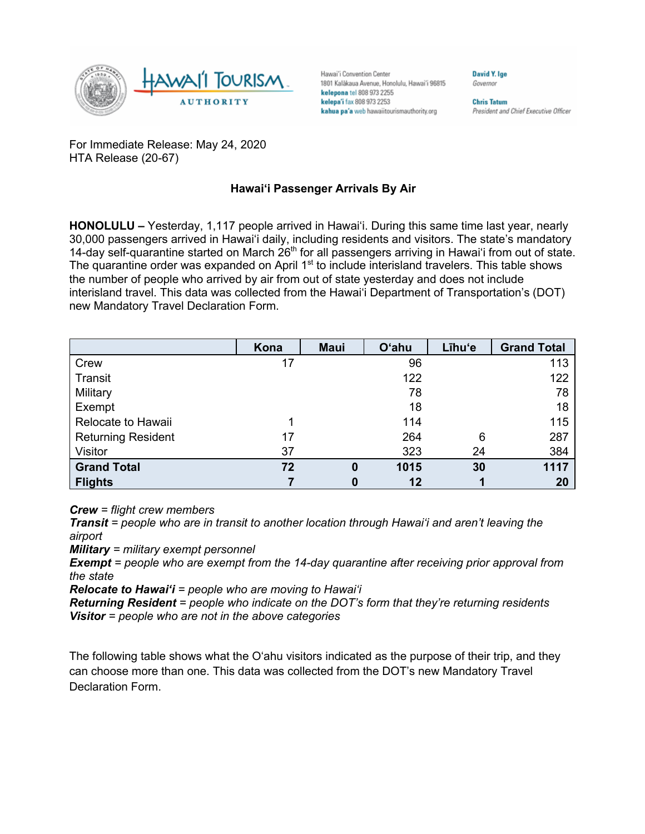

Hawai'i Convention Center 1801 Kalākaua Avenue, Honolulu, Hawai'i 96815 kelepona tel 808 973 2255 kelepa'i fax 808 973 2253 kahua pa'a web hawaiitourismauthority.org

**Chris Tatum** President and Chief Executive Officer

**David V Ine** 

Governor

For Immediate Release: May 24, 2020 HTA Release (20-67)

## **Hawai'i Passenger Arrivals By Air**

**HONOLULU –** Yesterday, 1,117 people arrived in Hawai'i. During this same time last year, nearly 30,000 passengers arrived in Hawai'i daily, including residents and visitors. The state's mandatory 14-day self-quarantine started on March 26<sup>th</sup> for all passengers arriving in Hawai'i from out of state. The quarantine order was expanded on April 1<sup>st</sup> to include interisland travelers. This table shows the number of people who arrived by air from out of state yesterday and does not include interisland travel. This data was collected from the Hawai'i Department of Transportation's (DOT) new Mandatory Travel Declaration Form.

|                           | Kona | <b>Maui</b> | <b>O'ahu</b> | Līhu'e | <b>Grand Total</b> |
|---------------------------|------|-------------|--------------|--------|--------------------|
| Crew                      | 17   |             | 96           |        | 113                |
| Transit                   |      |             | 122          |        | 122                |
| Military                  |      |             | 78           |        | 78                 |
| Exempt                    |      |             | 18           |        | 18                 |
| Relocate to Hawaii        |      |             | 114          |        | 115                |
| <b>Returning Resident</b> | 17   |             | 264          | 6      | 287                |
| Visitor                   | 37   |             | 323          | 24     | 384                |
| <b>Grand Total</b>        | 72   | 0           | 1015         | 30     | 1117               |
| <b>Flights</b>            |      | 0           | 12           |        | 20                 |

*Crew = flight crew members*

*Transit = people who are in transit to another location through Hawai'i and aren't leaving the airport*

*Military = military exempt personnel*

*Exempt = people who are exempt from the 14-day quarantine after receiving prior approval from the state*

*Relocate to Hawai'i = people who are moving to Hawai'i*

*Returning Resident = people who indicate on the DOT's form that they're returning residents Visitor = people who are not in the above categories*

The following table shows what the O'ahu visitors indicated as the purpose of their trip, and they can choose more than one. This data was collected from the DOT's new Mandatory Travel Declaration Form.